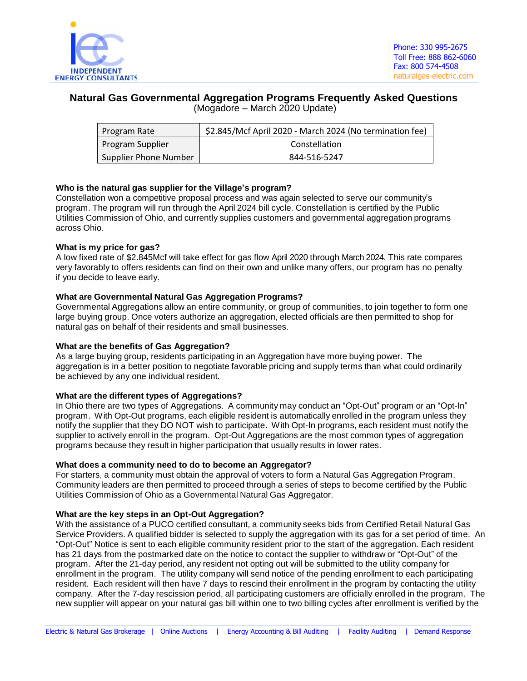

# **Natural Gas Governmental Aggregation Programs Frequently Asked Questions** (Mogadore – March 2020 Update)

| Program Rate          | \$2.845/Mcf April 2020 - March 2024 (No termination fee) |
|-----------------------|----------------------------------------------------------|
| Program Supplier      | Constellation                                            |
| Supplier Phone Number | 844-516-5247                                             |

# **Who is the natural gas supplier for the Village's program?**

Constellation won a competitive proposal process and was again selected to serve our community's program. The program will run through the April 2024 bill cycle. Constellation is certified by the Public Utilities Commission of Ohio, and currently supplies customers and governmental aggregation programs across Ohio.

# **What is my price for gas?**

A low fixed rate of \$2.845Mcf will take effect for gas flow April 2020 through March 2024. This rate compares very favorably to offers residents can find on their own and unlike many offers, our program has no penalty if you decide to leave early.

# **What are Governmental Natural Gas Aggregation Programs?**

Governmental Aggregations allow an entire community, or group of communities, to join together to form one large buying group. Once voters authorize an aggregation, elected officials are then permitted to shop for natural gas on behalf of their residents and small businesses.

# **What are the benefits of Gas Aggregation?**

As a large buying group, residents participating in an Aggregation have more buying power. The aggregation is in a better position to negotiate favorable pricing and supply terms than what could ordinarily be achieved by any one individual resident.

# **What are the different types of Aggregations?**

In Ohio there are two types of Aggregations. A community may conduct an "Opt-Out" program or an "Opt-In" program. With Opt-Out programs, each eligible resident is automatically enrolled in the program unless they notify the supplier that they DO NOT wish to participate. With Opt-In programs, each resident must notify the supplier to actively enroll in the program. Opt-Out Aggregations are the most common types of aggregation programs because they result in higher participation that usually results in lower rates.

## **What does a community need to do to become an Aggregator?**

For starters, a community must obtain the approval of voters to form a Natural Gas Aggregation Program. Community leaders are then permitted to proceed through a series of steps to become certified by the Public Utilities Commission of Ohio as a Governmental Natural Gas Aggregator.

## **What are the key steps in an Opt-Out Aggregation?**

With the assistance of a PUCO certified consultant, a community seeks bids from Certified Retail Natural Gas Service Providers. A qualified bidder is selected to supply the aggregation with its gas for a set period of time. An "Opt-Out" Notice is sent to each eligible community resident prior to the start of the aggregation. Each resident has 21 days from the postmarked date on the notice to contact the supplier to withdraw or "Opt-Out" of the program. After the 21-day period, any resident not opting out will be submitted to the utility company for enrollment in the program. The utility company will send notice of the pending enrollment to each participating resident. Each resident will then have 7 days to rescind their enrollment in the program by contacting the utility company. After the 7-day rescission period, all participating customers are officially enrolled in the program. The new supplier will appear on your natural gas bill within one to two billing cycles after enrollment is verified by the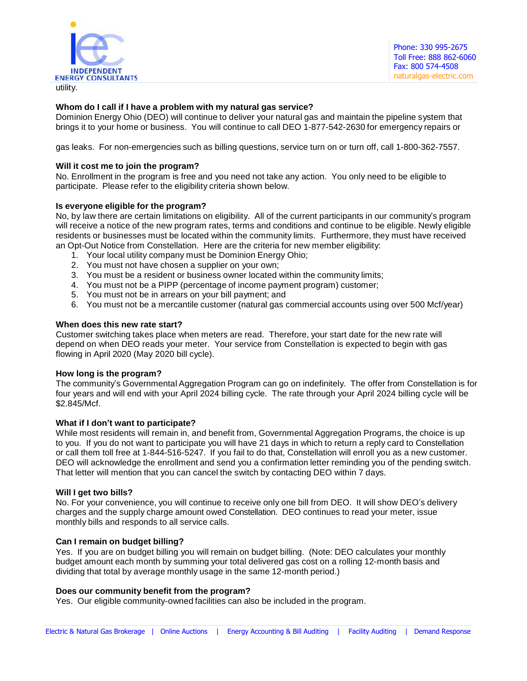

# **Whom do I call if I have a problem with my natural gas service?**

Dominion Energy Ohio (DEO) will continue to deliver your natural gas and maintain the pipeline system that brings it to your home or business. You will continue to call DEO 1-877-542-2630 for emergency repairs or

gas leaks. For non-emergencies such as billing questions, service turn on or turn off, call 1-800-362-7557.

## **Will it cost me to join the program?**

No. Enrollment in the program is free and you need not take any action. You only need to be eligible to participate. Please refer to the eligibility criteria shown below.

## **Is everyone eligible for the program?**

No, by law there are certain limitations on eligibility. All of the current participants in our community's program will receive a notice of the new program rates, terms and conditions and continue to be eligible. Newly eligible residents or businesses must be located within the community limits. Furthermore, they must have received an Opt-Out Notice from Constellation. Here are the criteria for new member eligibility:

- 1. Your local utility company must be Dominion Energy Ohio;
- 2. You must not have chosen a supplier on your own;
- 3. You must be a resident or business owner located within the community limits;
- 4. You must not be a PIPP (percentage of income payment program) customer;
- 5. You must not be in arrears on your bill payment; and
- 6. You must not be a mercantile customer (natural gas commercial accounts using over 500 Mcf/year)

### **When does this new rate start?**

Customer switching takes place when meters are read. Therefore, your start date for the new rate will depend on when DEO reads your meter. Your service from Constellation is expected to begin with gas flowing in April 2020 (May 2020 bill cycle).

#### **How long is the program?**

The community's Governmental Aggregation Program can go on indefinitely. The offer from Constellation is for four years and will end with your April 2024 billing cycle. The rate through your April 2024 billing cycle will be \$2.845/Mcf.

#### **What if I don't want to participate?**

While most residents will remain in, and benefit from, Governmental Aggregation Programs, the choice is up to you. If you do not want to participate you will have 21 days in which to return a reply card to Constellation or call them toll free at 1-844-516-5247. If you fail to do that, Constellation will enroll you as a new customer. DEO will acknowledge the enrollment and send you a confirmation letter reminding you of the pending switch. That letter will mention that you can cancel the switch by contacting DEO within 7 days.

#### **Will I get two bills?**

No. For your convenience, you will continue to receive only one bill from DEO. It will show DEO's delivery charges and the supply charge amount owed Constellation. DEO continues to read your meter, issue monthly bills and responds to all service calls.

## **Can I remain on budget billing?**

Yes. If you are on budget billing you will remain on budget billing. (Note: DEO calculates your monthly budget amount each month by summing your total delivered gas cost on a rolling 12-month basis and dividing that total by average monthly usage in the same 12-month period.)

#### **Does our community benefit from the program?**

Yes. Our eligible community-owned facilities can also be included in the program.